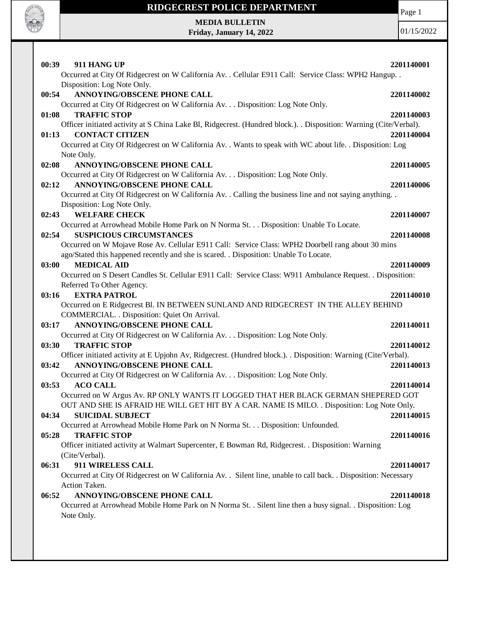

Page 1

**MEDIA BULLETIN Friday, January 14, 2022**

| 00:39<br>911 HANG UP                                                                                               | 2201140001 |
|--------------------------------------------------------------------------------------------------------------------|------------|
| Occurred at City Of Ridgecrest on W California Av. . Cellular E911 Call: Service Class: WPH2 Hangup. .             |            |
| Disposition: Log Note Only.                                                                                        |            |
| ANNOYING/OBSCENE PHONE CALL<br>00:54                                                                               | 2201140002 |
| Occurred at City Of Ridgecrest on W California Av. Disposition: Log Note Only.                                     |            |
| <b>TRAFFIC STOP</b><br>01:08                                                                                       | 2201140003 |
| Officer initiated activity at S China Lake Bl, Ridgecrest. (Hundred block.). . Disposition: Warning (Cite/Verbal). |            |
| <b>CONTACT CITIZEN</b><br>01:13                                                                                    | 2201140004 |
| Occurred at City Of Ridgecrest on W California Av. . Wants to speak with WC about life. . Disposition: Log         |            |
| Note Only.                                                                                                         |            |
| 02:08<br>ANNOYING/OBSCENE PHONE CALL                                                                               | 2201140005 |
| Occurred at City Of Ridgecrest on W California Av. Disposition: Log Note Only.                                     |            |
| <b>ANNOYING/OBSCENE PHONE CALL</b><br>02:12                                                                        | 2201140006 |
| Occurred at City Of Ridgecrest on W California Av. . Calling the business line and not saying anything. .          |            |
| Disposition: Log Note Only.                                                                                        |            |
| <b>WELFARE CHECK</b><br>02:43                                                                                      | 2201140007 |
| Occurred at Arrowhead Mobile Home Park on N Norma St. Disposition: Unable To Locate.                               |            |
| <b>SUSPICIOUS CIRCUMSTANCES</b><br>02:54                                                                           | 2201140008 |
| Occurred on W Mojave Rose Av. Cellular E911 Call: Service Class: WPH2 Doorbell rang about 30 mins                  |            |
| ago/Stated this happened recently and she is scared. . Disposition: Unable To Locate.                              |            |
| <b>MEDICAL AID</b><br>03:00                                                                                        | 2201140009 |
| Occurred on S Desert Candles St. Cellular E911 Call: Service Class: W911 Ambulance Request. . Disposition:         |            |
| Referred To Other Agency.                                                                                          |            |
| 03:16<br><b>EXTRA PATROL</b>                                                                                       | 2201140010 |
| Occurred on E Ridgecrest Bl. IN BETWEEN SUNLAND AND RIDGECREST IN THE ALLEY BEHIND                                 |            |
| COMMERCIAL. . Disposition: Quiet On Arrival.                                                                       |            |
| ANNOYING/OBSCENE PHONE CALL<br>03:17                                                                               | 2201140011 |
| Occurred at City Of Ridgecrest on W California Av. Disposition: Log Note Only.                                     |            |
| <b>TRAFFIC STOP</b><br>03:30                                                                                       | 2201140012 |
| Officer initiated activity at E Upjohn Av, Ridgecrest. (Hundred block.). Disposition: Warning (Cite/Verbal).       |            |
| <b>ANNOYING/OBSCENE PHONE CALL</b><br>03:42                                                                        | 2201140013 |
| Occurred at City Of Ridgecrest on W California Av. Disposition: Log Note Only.                                     |            |
| 03:53<br><b>ACO CALL</b>                                                                                           | 2201140014 |
| Occurred on W Argus Av. RP ONLY WANTS IT LOGGED THAT HER BLACK GERMAN SHEPERED GOT                                 |            |
| OUT AND SHE IS AFRAID HE WILL GET HIT BY A CAR. NAME IS MILO. . Disposition: Log Note Only.                        |            |
| 04:34<br><b>SUICIDAL SUBJECT</b>                                                                                   | 2201140015 |
| Occurred at Arrowhead Mobile Home Park on N Norma St. Disposition: Unfounded.                                      |            |
| <b>TRAFFIC STOP</b><br>05:28                                                                                       | 2201140016 |
| Officer initiated activity at Walmart Supercenter, E Bowman Rd, Ridgecrest. . Disposition: Warning                 |            |
| (Cite/Verbal).                                                                                                     |            |
| 911 WIRELESS CALL<br>06:31                                                                                         | 2201140017 |
| Occurred at City Of Ridgecrest on W California Av. . Silent line, unable to call back. . Disposition: Necessary    |            |
| Action Taken.                                                                                                      |            |
| ANNOYING/OBSCENE PHONE CALL<br>06:52                                                                               | 2201140018 |
| Occurred at Arrowhead Mobile Home Park on N Norma St. . Silent line then a busy signal. . Disposition: Log         |            |
| Note Only.                                                                                                         |            |
|                                                                                                                    |            |
|                                                                                                                    |            |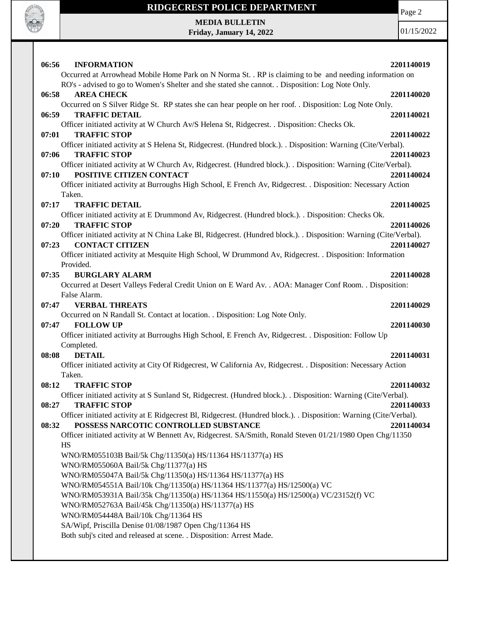

Page 2

**MEDIA BULLETIN Friday, January 14, 2022**

| 06:56<br><b>INFORMATION</b>                                                                                                                                        | 2201140019 |
|--------------------------------------------------------------------------------------------------------------------------------------------------------------------|------------|
| Occurred at Arrowhead Mobile Home Park on N Norma St. . RP is claiming to be and needing information on                                                            |            |
| RO's - advised to go to Women's Shelter and she stated she cannot. . Disposition: Log Note Only.                                                                   |            |
| <b>AREA CHECK</b><br>06:58                                                                                                                                         | 2201140020 |
| Occurred on S Silver Ridge St. RP states she can hear people on her roof. . Disposition: Log Note Only.                                                            |            |
| 06:59<br><b>TRAFFIC DETAIL</b>                                                                                                                                     | 2201140021 |
| Officer initiated activity at W Church Av/S Helena St, Ridgecrest. . Disposition: Checks Ok.                                                                       |            |
| 07:01<br><b>TRAFFIC STOP</b>                                                                                                                                       | 2201140022 |
| Officer initiated activity at S Helena St, Ridgecrest. (Hundred block.). Disposition: Warning (Cite/Verbal).                                                       |            |
| 07:06<br><b>TRAFFIC STOP</b>                                                                                                                                       | 2201140023 |
| Officer initiated activity at W Church Av, Ridgecrest. (Hundred block.). Disposition: Warning (Cite/Verbal).                                                       |            |
| POSITIVE CITIZEN CONTACT<br>07:10                                                                                                                                  | 2201140024 |
| Officer initiated activity at Burroughs High School, E French Av, Ridgecrest. . Disposition: Necessary Action                                                      |            |
| Taken.                                                                                                                                                             |            |
| <b>TRAFFIC DETAIL</b><br>07:17                                                                                                                                     | 2201140025 |
| Officer initiated activity at E Drummond Av, Ridgecrest. (Hundred block.). Disposition: Checks Ok.<br>07:20<br><b>TRAFFIC STOP</b>                                 | 2201140026 |
| Officer initiated activity at N China Lake Bl, Ridgecrest. (Hundred block.). . Disposition: Warning (Cite/Verbal).                                                 |            |
| <b>CONTACT CITIZEN</b><br>07:23                                                                                                                                    | 2201140027 |
| Officer initiated activity at Mesquite High School, W Drummond Av, Ridgecrest. . Disposition: Information                                                          |            |
| Provided.                                                                                                                                                          |            |
| <b>BURGLARY ALARM</b><br>07:35                                                                                                                                     | 2201140028 |
| Occurred at Desert Valleys Federal Credit Union on E Ward Av. . AOA: Manager Conf Room. . Disposition:                                                             |            |
| False Alarm.                                                                                                                                                       |            |
| 07:47<br><b>VERBAL THREATS</b>                                                                                                                                     | 2201140029 |
| Occurred on N Randall St. Contact at location. . Disposition: Log Note Only.                                                                                       |            |
| <b>FOLLOW UP</b><br>07:47                                                                                                                                          | 2201140030 |
| Officer initiated activity at Burroughs High School, E French Av, Ridgecrest. . Disposition: Follow Up                                                             |            |
| Completed.                                                                                                                                                         |            |
| 08:08<br><b>DETAIL</b>                                                                                                                                             | 2201140031 |
| Officer initiated activity at City Of Ridgecrest, W California Av, Ridgecrest. . Disposition: Necessary Action                                                     |            |
| Taken.                                                                                                                                                             |            |
| <b>TRAFFIC STOP</b><br>08:12                                                                                                                                       | 2201140032 |
| Officer initiated activity at S Sunland St, Ridgecrest. (Hundred block.). Disposition: Warning (Cite/Verbal).                                                      |            |
| 08:27<br><b>TRAFFIC STOP</b>                                                                                                                                       | 2201140033 |
| Officer initiated activity at E Ridgecrest Bl, Ridgecrest. (Hundred block.). Disposition: Warning (Cite/Verbal).<br>POSSESS NARCOTIC CONTROLLED SUBSTANCE<br>08:32 | 2201140034 |
| Officer initiated activity at W Bennett Av, Ridgecrest. SA/Smith, Ronald Steven 01/21/1980 Open Chg/11350                                                          |            |
| <b>HS</b>                                                                                                                                                          |            |
| WNO/RM055103B Bail/5k Chg/11350(a) HS/11364 HS/11377(a) HS                                                                                                         |            |
| WNO/RM055060A Bail/5k Chg/11377(a) HS                                                                                                                              |            |
| WNO/RM055047A Bail/5k Chg/11350(a) HS/11364 HS/11377(a) HS                                                                                                         |            |
| WNO/RM054551A Bail/10k Chg/11350(a) HS/11364 HS/11377(a) HS/12500(a) VC                                                                                            |            |
| WNO/RM053931A Bail/35k Chg/11350(a) HS/11364 HS/11550(a) HS/12500(a) VC/23152(f) VC                                                                                |            |
| WNO/RM052763A Bail/45k Chg/11350(a) HS/11377(a) HS                                                                                                                 |            |
| WNO/RM054448A Bail/10k Chg/11364 HS                                                                                                                                |            |
| SA/Wipf, Priscilla Denise 01/08/1987 Open Chg/11364 HS                                                                                                             |            |
| Both subj's cited and released at scene. . Disposition: Arrest Made.                                                                                               |            |
|                                                                                                                                                                    |            |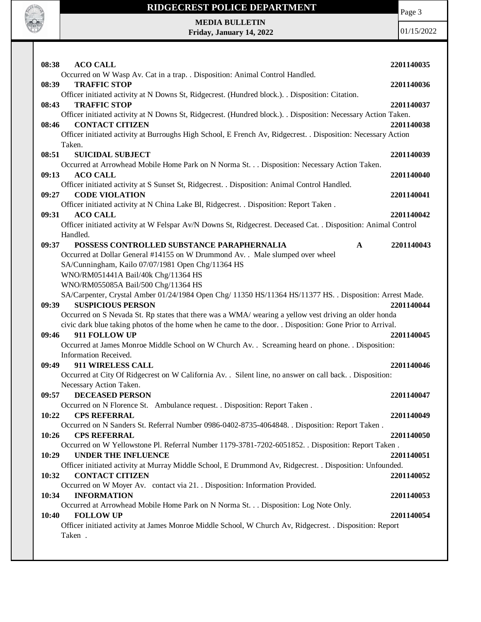

# **RIDGECREST POLICE DEPARTMENT MEDIA BULLETIN**

**Friday, January 14, 2022**

Page 3

| 08:38<br><b>ACO CALL</b>                                                                                       | 2201140035 |
|----------------------------------------------------------------------------------------------------------------|------------|
| Occurred on W Wasp Av. Cat in a trap. . Disposition: Animal Control Handled.<br><b>TRAFFIC STOP</b><br>08:39   | 2201140036 |
| Officer initiated activity at N Downs St, Ridgecrest. (Hundred block.). . Disposition: Citation.               |            |
| <b>TRAFFIC STOP</b><br>08:43                                                                                   | 2201140037 |
| Officer initiated activity at N Downs St, Ridgecrest. (Hundred block.). . Disposition: Necessary Action Taken. |            |
| <b>CONTACT CITIZEN</b><br>08:46                                                                                | 2201140038 |
| Officer initiated activity at Burroughs High School, E French Av, Ridgecrest. . Disposition: Necessary Action  |            |
| Taken.                                                                                                         |            |
| <b>SUICIDAL SUBJECT</b><br>08:51                                                                               | 2201140039 |
| Occurred at Arrowhead Mobile Home Park on N Norma St. Disposition: Necessary Action Taken.                     |            |
| <b>ACO CALL</b><br>09:13                                                                                       | 2201140040 |
| Officer initiated activity at S Sunset St, Ridgecrest. . Disposition: Animal Control Handled.                  |            |
| <b>CODE VIOLATION</b><br>09:27                                                                                 | 2201140041 |
| Officer initiated activity at N China Lake Bl, Ridgecrest. . Disposition: Report Taken.                        |            |
| <b>ACO CALL</b><br>09:31                                                                                       | 2201140042 |
| Officer initiated activity at W Felspar Av/N Downs St, Ridgecrest. Deceased Cat. . Disposition: Animal Control |            |
| Handled.                                                                                                       |            |
| 09:37<br>POSSESS CONTROLLED SUBSTANCE PARAPHERNALIA<br>$\mathbf{A}$                                            | 2201140043 |
| Occurred at Dollar General #14155 on W Drummond Av. . Male slumped over wheel                                  |            |
| SA/Cunningham, Kailo 07/07/1981 Open Chg/11364 HS                                                              |            |
| WNO/RM051441A Bail/40k Chg/11364 HS                                                                            |            |
| WNO/RM055085A Bail/500 Chg/11364 HS                                                                            |            |
| SA/Carpenter, Crystal Amber 01/24/1984 Open Chg/ 11350 HS/11364 HS/11377 HS. . Disposition: Arrest Made.       |            |
| <b>SUSPICIOUS PERSON</b><br>09:39                                                                              | 2201140044 |
| Occurred on S Nevada St. Rp states that there was a WMA/ wearing a yellow vest driving an older honda          |            |
| civic dark blue taking photos of the home when he came to the door. . Disposition: Gone Prior to Arrival.      |            |
| 911 FOLLOW UP<br>09:46                                                                                         |            |
|                                                                                                                | 2201140045 |
| Occurred at James Monroe Middle School on W Church Av. . Screaming heard on phone. . Disposition:              |            |
| Information Received.                                                                                          |            |
| 09:49<br>911 WIRELESS CALL                                                                                     | 2201140046 |
| Occurred at City Of Ridgecrest on W California Av. . Silent line, no answer on call back. . Disposition:       |            |
| Necessary Action Taken.                                                                                        |            |
| <b>DECEASED PERSON</b><br>09:57                                                                                | 2201140047 |
| Occurred on N Florence St. Ambulance request. . Disposition: Report Taken.                                     |            |
| 10:22<br><b>CPS REFERRAL</b>                                                                                   | 2201140049 |
| Occurred on N Sanders St. Referral Number 0986-0402-8735-4064848. . Disposition: Report Taken.                 |            |
| 10:26<br><b>CPS REFERRAL</b>                                                                                   | 2201140050 |
| Occurred on W Yellowstone Pl. Referral Number 1179-3781-7202-6051852. . Disposition: Report Taken.             |            |
| <b>UNDER THE INFLUENCE</b><br>10:29                                                                            | 2201140051 |
| Officer initiated activity at Murray Middle School, E Drummond Av, Ridgecrest. . Disposition: Unfounded.       |            |
| <b>CONTACT CITIZEN</b><br>10:32                                                                                | 2201140052 |
| Occurred on W Moyer Av. contact via 21. Disposition: Information Provided.                                     |            |
| <b>INFORMATION</b><br>10:34                                                                                    | 2201140053 |
| Occurred at Arrowhead Mobile Home Park on N Norma St. Disposition: Log Note Only.                              |            |
| <b>FOLLOW UP</b><br>10:40                                                                                      | 2201140054 |
| Officer initiated activity at James Monroe Middle School, W Church Av, Ridgecrest. . Disposition: Report       |            |
| Taken.                                                                                                         |            |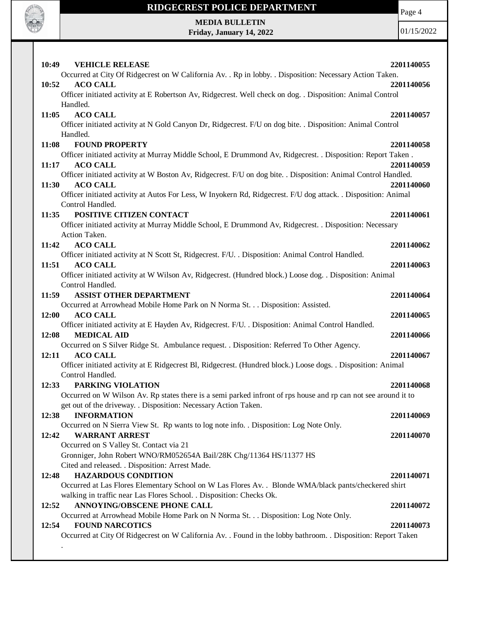

# **RIDGECREST POLICE DEPARTMENT MEDIA BULLETIN**

**Friday, January 14, 2022**

Page 4

| 10:49<br><b>VEHICLE RELEASE</b>                                                                                | 2201140055 |
|----------------------------------------------------------------------------------------------------------------|------------|
| Occurred at City Of Ridgecrest on W California Av. . Rp in lobby. . Disposition: Necessary Action Taken.       |            |
| <b>ACO CALL</b><br>10:52                                                                                       | 2201140056 |
| Officer initiated activity at E Robertson Av, Ridgecrest. Well check on dog. . Disposition: Animal Control     |            |
| Handled.                                                                                                       |            |
| <b>ACO CALL</b><br>11:05                                                                                       | 2201140057 |
| Officer initiated activity at N Gold Canyon Dr, Ridgecrest. F/U on dog bite. . Disposition: Animal Control     |            |
| Handled.                                                                                                       |            |
| 11:08<br><b>FOUND PROPERTY</b>                                                                                 | 2201140058 |
| Officer initiated activity at Murray Middle School, E Drummond Av, Ridgecrest. . Disposition: Report Taken.    |            |
| 11:17<br><b>ACO CALL</b>                                                                                       | 2201140059 |
| Officer initiated activity at W Boston Av, Ridgecrest. F/U on dog bite. . Disposition: Animal Control Handled. |            |
| <b>ACO CALL</b><br>11:30                                                                                       | 2201140060 |
| Officer initiated activity at Autos For Less, W Inyokern Rd, Ridgecrest. F/U dog attack. . Disposition: Animal |            |
| Control Handled.                                                                                               |            |
| POSITIVE CITIZEN CONTACT<br>11:35                                                                              | 2201140061 |
| Officer initiated activity at Murray Middle School, E Drummond Av, Ridgecrest. . Disposition: Necessary        |            |
| Action Taken.                                                                                                  |            |
| <b>ACO CALL</b><br>11:42                                                                                       | 2201140062 |
| Officer initiated activity at N Scott St, Ridgecrest. F/U. . Disposition: Animal Control Handled.              |            |
| 11:51<br><b>ACO CALL</b>                                                                                       | 2201140063 |
| Officer initiated activity at W Wilson Av, Ridgecrest. (Hundred block.) Loose dog. . Disposition: Animal       |            |
| Control Handled.<br><b>ASSIST OTHER DEPARTMENT</b><br>11:59                                                    | 2201140064 |
| Occurred at Arrowhead Mobile Home Park on N Norma St. Disposition: Assisted.                                   |            |
| <b>ACO CALL</b><br>12:00                                                                                       | 2201140065 |
| Officer initiated activity at E Hayden Av, Ridgecrest. F/U. . Disposition: Animal Control Handled.             |            |
| <b>MEDICAL AID</b><br>12:08                                                                                    | 2201140066 |
| Occurred on S Silver Ridge St. Ambulance request. . Disposition: Referred To Other Agency.                     |            |
| <b>ACO CALL</b><br>12:11                                                                                       | 2201140067 |
| Officer initiated activity at E Ridgecrest Bl, Ridgecrest. (Hundred block.) Loose dogs. . Disposition: Animal  |            |
| Control Handled.                                                                                               |            |
| 12:33<br>PARKING VIOLATION                                                                                     | 2201140068 |
| Occurred on W Wilson Av. Rp states there is a semi parked infront of rps house and rp can not see around it to |            |
| get out of the driveway. . Disposition: Necessary Action Taken.                                                |            |
| 12:38<br><b>INFORMATION</b>                                                                                    | 2201140069 |
| Occurred on N Sierra View St. Rp wants to log note info. . Disposition: Log Note Only.                         |            |
| 12:42<br><b>WARRANT ARREST</b>                                                                                 | 2201140070 |
| Occurred on S Valley St. Contact via 21                                                                        |            |
| Gronniger, John Robert WNO/RM052654A Bail/28K Chg/11364 HS/11377 HS                                            |            |
| Cited and released. . Disposition: Arrest Made.                                                                |            |
| <b>HAZARDOUS CONDITION</b><br>12:48                                                                            | 2201140071 |
| Occurred at Las Flores Elementary School on W Las Flores Av. . Blonde WMA/black pants/checkered shirt          |            |
| walking in traffic near Las Flores School. . Disposition: Checks Ok.                                           |            |
| ANNOYING/OBSCENE PHONE CALL<br>12:52                                                                           | 2201140072 |
| Occurred at Arrowhead Mobile Home Park on N Norma St. Disposition: Log Note Only.                              |            |
| 12:54<br><b>FOUND NARCOTICS</b>                                                                                | 2201140073 |
| Occurred at City Of Ridgecrest on W California Av. . Found in the lobby bathroom. . Disposition: Report Taken  |            |
|                                                                                                                |            |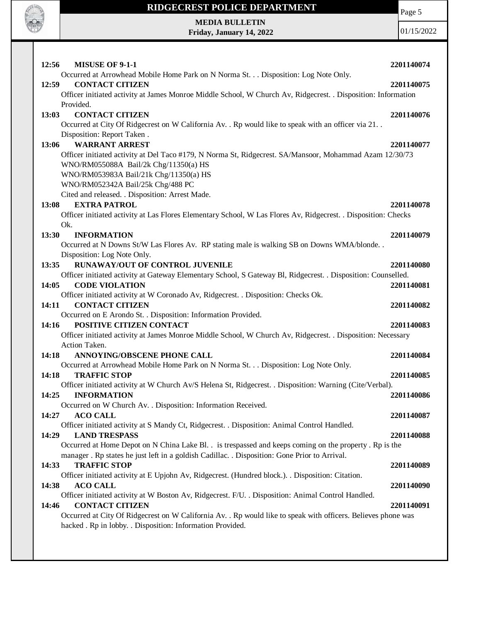

Page 5

**MEDIA BULLETIN Friday, January 14, 2022**

| <b>MISUSE OF 9-1-1</b><br>12:56                                                                                | 2201140074 |
|----------------------------------------------------------------------------------------------------------------|------------|
| Occurred at Arrowhead Mobile Home Park on N Norma St. Disposition: Log Note Only.                              |            |
| 12:59<br><b>CONTACT CITIZEN</b>                                                                                | 2201140075 |
| Officer initiated activity at James Monroe Middle School, W Church Av, Ridgecrest. . Disposition: Information  |            |
| Provided.                                                                                                      |            |
| <b>CONTACT CITIZEN</b><br>13:03                                                                                | 2201140076 |
| Occurred at City Of Ridgecrest on W California Av. . Rp would like to speak with an officer via 21. .          |            |
| Disposition: Report Taken.                                                                                     |            |
| <b>WARRANT ARREST</b><br>13:06                                                                                 | 2201140077 |
| Officer initiated activity at Del Taco #179, N Norma St, Ridgecrest. SA/Mansoor, Mohammad Azam 12/30/73        |            |
| WNO/RM055088A Bail/2k Chg/11350(a) HS                                                                          |            |
| WNO/RM053983A Bail/21k Chg/11350(a) HS                                                                         |            |
| WNO/RM052342A Bail/25k Chg/488 PC                                                                              |            |
| Cited and released. . Disposition: Arrest Made.                                                                |            |
| <b>EXTRA PATROL</b><br><b>13:08</b>                                                                            | 2201140078 |
| Officer initiated activity at Las Flores Elementary School, W Las Flores Av, Ridgecrest. . Disposition: Checks |            |
| Ok.                                                                                                            |            |
| 13:30<br><b>INFORMATION</b>                                                                                    | 2201140079 |
| Occurred at N Downs St/W Las Flores Av. RP stating male is walking SB on Downs WMA/blonde                      |            |
| Disposition: Log Note Only.<br><b>RUNAWAY/OUT OF CONTROL JUVENILE</b><br>13:35                                 | 2201140080 |
| Officer initiated activity at Gateway Elementary School, S Gateway Bl, Ridgecrest. . Disposition: Counselled.  |            |
| <b>CODE VIOLATION</b><br>14:05                                                                                 | 2201140081 |
| Officer initiated activity at W Coronado Av, Ridgecrest. . Disposition: Checks Ok.                             |            |
| <b>CONTACT CITIZEN</b><br>14:11                                                                                | 2201140082 |
| Occurred on E Arondo St. . Disposition: Information Provided.                                                  |            |
| POSITIVE CITIZEN CONTACT<br>14:16                                                                              | 2201140083 |
| Officer initiated activity at James Monroe Middle School, W Church Av, Ridgecrest. . Disposition: Necessary    |            |
| Action Taken.                                                                                                  |            |
| <b>ANNOYING/OBSCENE PHONE CALL</b><br>14:18                                                                    | 2201140084 |
| Occurred at Arrowhead Mobile Home Park on N Norma St. Disposition: Log Note Only.                              |            |
| 14:18<br><b>TRAFFIC STOP</b>                                                                                   | 2201140085 |
| Officer initiated activity at W Church Av/S Helena St, Ridgecrest. . Disposition: Warning (Cite/Verbal).       |            |
| <b>INFORMATION</b><br>14:25                                                                                    | 2201140086 |
| Occurred on W Church Av. . Disposition: Information Received.                                                  |            |
| <b>ACO CALL</b><br>14:27                                                                                       | 2201140087 |
| Officer initiated activity at S Mandy Ct, Ridgecrest. . Disposition: Animal Control Handled.                   |            |
| <b>LAND TRESPASS</b><br>14:29                                                                                  | 2201140088 |
| Occurred at Home Depot on N China Lake Bl. . is trespassed and keeps coming on the property . Rp is the        |            |
| manager. Rp states he just left in a goldish Cadillac. . Disposition: Gone Prior to Arrival.                   |            |
| <b>TRAFFIC STOP</b><br>14:33                                                                                   | 2201140089 |
| Officer initiated activity at E Upjohn Av, Ridgecrest. (Hundred block.). . Disposition: Citation.              |            |
| 14:38<br><b>ACO CALL</b>                                                                                       | 2201140090 |
| Officer initiated activity at W Boston Av, Ridgecrest. F/U. . Disposition: Animal Control Handled.             |            |
| <b>CONTACT CITIZEN</b><br>14:46                                                                                | 2201140091 |
| Occurred at City Of Ridgecrest on W California Av. . Rp would like to speak with officers. Believes phone was  |            |
| hacked . Rp in lobby. . Disposition: Information Provided.                                                     |            |
|                                                                                                                |            |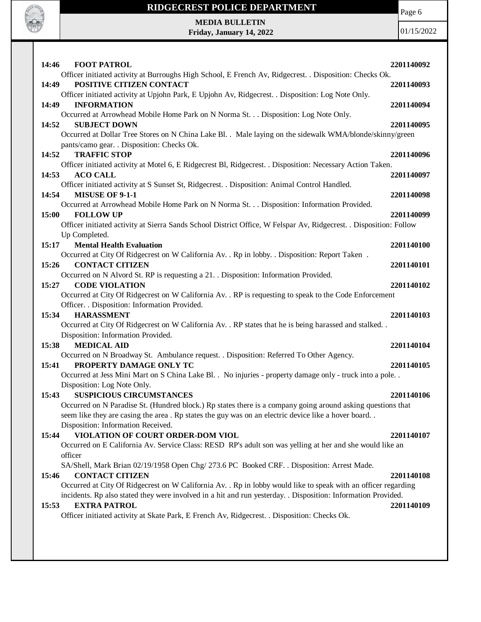

Page 6

**MEDIA BULLETIN Friday, January 14, 2022**

| <b>FOOT PATROL</b><br>14:46                                                                                                                            | 2201140092 |
|--------------------------------------------------------------------------------------------------------------------------------------------------------|------------|
| Officer initiated activity at Burroughs High School, E French Av, Ridgecrest. . Disposition: Checks Ok.                                                |            |
| POSITIVE CITIZEN CONTACT<br>14:49                                                                                                                      | 2201140093 |
| Officer initiated activity at Upjohn Park, E Upjohn Av, Ridgecrest. . Disposition: Log Note Only.                                                      |            |
| 14:49<br><b>INFORMATION</b>                                                                                                                            | 2201140094 |
| Occurred at Arrowhead Mobile Home Park on N Norma St. Disposition: Log Note Only.                                                                      |            |
| 14:52<br><b>SUBJECT DOWN</b>                                                                                                                           | 2201140095 |
| Occurred at Dollar Tree Stores on N China Lake Bl. . Male laying on the sidewalk WMA/blonde/skinny/green<br>pants/camo gear. . Disposition: Checks Ok. |            |
| <b>TRAFFIC STOP</b><br>14:52                                                                                                                           | 2201140096 |
| Officer initiated activity at Motel 6, E Ridgecrest Bl, Ridgecrest. . Disposition: Necessary Action Taken.                                             |            |
| 14:53<br><b>ACO CALL</b>                                                                                                                               | 2201140097 |
| Officer initiated activity at S Sunset St, Ridgecrest. . Disposition: Animal Control Handled.                                                          |            |
| MISUSE OF 9-1-1<br>14:54                                                                                                                               | 2201140098 |
| Occurred at Arrowhead Mobile Home Park on N Norma St. Disposition: Information Provided.                                                               |            |
| 15:00<br><b>FOLLOW UP</b>                                                                                                                              | 2201140099 |
| Officer initiated activity at Sierra Sands School District Office, W Felspar Av, Ridgecrest. . Disposition: Follow                                     |            |
| Up Completed.                                                                                                                                          |            |
| 15:17<br><b>Mental Health Evaluation</b>                                                                                                               | 2201140100 |
| Occurred at City Of Ridgecrest on W California Av. . Rp in lobby. . Disposition: Report Taken.<br>15:26<br><b>CONTACT CITIZEN</b>                      | 2201140101 |
| Occurred on N Alvord St. RP is requesting a 21. Disposition: Information Provided.                                                                     |            |
| <b>CODE VIOLATION</b><br>15:27                                                                                                                         | 2201140102 |
| Occurred at City Of Ridgecrest on W California Av. . RP is requesting to speak to the Code Enforcement                                                 |            |
| Officer. . Disposition: Information Provided.                                                                                                          |            |
| <b>HARASSMENT</b><br>15:34                                                                                                                             | 2201140103 |
| Occurred at City Of Ridgecrest on W California Av. . RP states that he is being harassed and stalked. .                                                |            |
| Disposition: Information Provided.                                                                                                                     |            |
| <b>MEDICAL AID</b><br>15:38                                                                                                                            | 2201140104 |
| Occurred on N Broadway St. Ambulance request. . Disposition: Referred To Other Agency.                                                                 |            |
| 15:41<br>PROPERTY DAMAGE ONLY TC                                                                                                                       | 2201140105 |
| Occurred at Jess Mini Mart on S China Lake Bl. . No injuries - property damage only - truck into a pole. .                                             |            |
| Disposition: Log Note Only.<br><b>SUSPICIOUS CIRCUMSTANCES</b><br>15:43                                                                                |            |
| Occurred on N Paradise St. (Hundred block.) Rp states there is a company going around asking questions that                                            | 2201140106 |
| seem like they are casing the area. Rp states the guy was on an electric device like a hover board                                                     |            |
| Disposition: Information Received.                                                                                                                     |            |
| VIOLATION OF COURT ORDER-DOM VIOL<br>15:44                                                                                                             | 2201140107 |
| Occurred on E California Av. Service Class: RESD RP's adult son was yelling at her and she would like an                                               |            |
| officer                                                                                                                                                |            |
| SA/Shell, Mark Brian 02/19/1958 Open Chg/ 273.6 PC Booked CRF. . Disposition: Arrest Made.                                                             |            |
| <b>CONTACT CITIZEN</b><br>15:46                                                                                                                        | 2201140108 |
| Occurred at City Of Ridgecrest on W California Av. . Rp in lobby would like to speak with an officer regarding                                         |            |
| incidents. Rp also stated they were involved in a hit and run yesterday. . Disposition: Information Provided.                                          |            |
| 15:53<br><b>EXTRA PATROL</b>                                                                                                                           | 2201140109 |
| Officer initiated activity at Skate Park, E French Av, Ridgecrest. . Disposition: Checks Ok.                                                           |            |
|                                                                                                                                                        |            |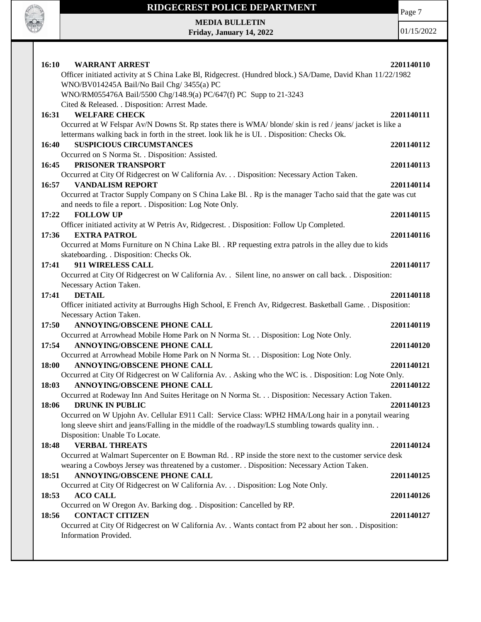

Page 7

**MEDIA BULLETIN Friday, January 14, 2022**

| 16:10<br><b>WARRANT ARREST</b>                                                                                          | 2201140110 |
|-------------------------------------------------------------------------------------------------------------------------|------------|
| Officer initiated activity at S China Lake Bl, Ridgecrest. (Hundred block.) SA/Dame, David Khan 11/22/1982              |            |
| WNO/BV014245A Bail/No Bail Chg/ 3455(a) PC                                                                              |            |
| WNO/RM055476A Bail/5500 Chg/148.9(a) PC/647(f) PC Supp to 21-3243                                                       |            |
| Cited & Released. . Disposition: Arrest Made.                                                                           |            |
| <b>WELFARE CHECK</b><br>16:31                                                                                           | 2201140111 |
| Occurred at W Felspar Av/N Downs St. Rp states there is WMA/ blonde/ skin is red / jeans/ jacket is like a              |            |
| lettermans walking back in forth in the street. look lik he is UI. . Disposition: Checks Ok.                            |            |
| <b>SUSPICIOUS CIRCUMSTANCES</b><br>16:40                                                                                | 2201140112 |
| Occurred on S Norma St. . Disposition: Assisted.                                                                        |            |
| PRISONER TRANSPORT<br>16:45                                                                                             | 2201140113 |
| Occurred at City Of Ridgecrest on W California Av. Disposition: Necessary Action Taken.                                 |            |
| <b>VANDALISM REPORT</b><br>16:57                                                                                        | 2201140114 |
| Occurred at Tractor Supply Company on S China Lake Bl. . Rp is the manager Tacho said that the gate was cut             |            |
| and needs to file a report. . Disposition: Log Note Only.                                                               |            |
| 17:22<br><b>FOLLOW UP</b><br>Officer initiated activity at W Petris Av, Ridgecrest. . Disposition: Follow Up Completed. | 2201140115 |
| <b>EXTRA PATROL</b><br>17:36                                                                                            | 2201140116 |
| Occurred at Moms Furniture on N China Lake Bl. . RP requesting extra patrols in the alley due to kids                   |            |
| skateboarding. . Disposition: Checks Ok.                                                                                |            |
| 911 WIRELESS CALL<br>17:41                                                                                              | 2201140117 |
| Occurred at City Of Ridgecrest on W California Av. . Silent line, no answer on call back. . Disposition:                |            |
| Necessary Action Taken.                                                                                                 |            |
| <b>DETAIL</b><br>17:41                                                                                                  | 2201140118 |
| Officer initiated activity at Burroughs High School, E French Av, Ridgecrest. Basketball Game. . Disposition:           |            |
| Necessary Action Taken.                                                                                                 |            |
| ANNOYING/OBSCENE PHONE CALL<br>17:50                                                                                    | 2201140119 |
| Occurred at Arrowhead Mobile Home Park on N Norma St. Disposition: Log Note Only.                                       |            |
| <b>ANNOYING/OBSCENE PHONE CALL</b><br>17:54                                                                             | 2201140120 |
| Occurred at Arrowhead Mobile Home Park on N Norma St. Disposition: Log Note Only.                                       |            |
| 18:00<br>ANNOYING/OBSCENE PHONE CALL                                                                                    | 2201140121 |
| Occurred at City Of Ridgecrest on W California Av. . Asking who the WC is. . Disposition: Log Note Only.                |            |
| ANNOYING/OBSCENE PHONE CALL<br>18:03                                                                                    | 2201140122 |
| Occurred at Rodeway Inn And Suites Heritage on N Norma St. Disposition: Necessary Action Taken.                         |            |
| 18:06<br><b>DRUNK IN PUBLIC</b>                                                                                         | 2201140123 |
| Occurred on W Upjohn Av. Cellular E911 Call: Service Class: WPH2 HMA/Long hair in a ponytail wearing                    |            |
| long sleeve shirt and jeans/Falling in the middle of the roadway/LS stumbling towards quality inn                       |            |
| Disposition: Unable To Locate.                                                                                          |            |
| <b>VERBAL THREATS</b><br>18:48                                                                                          | 2201140124 |
| Occurred at Walmart Supercenter on E Bowman Rd. . RP inside the store next to the customer service desk                 |            |
| wearing a Cowboys Jersey was threatened by a customer. . Disposition: Necessary Action Taken.                           |            |
| ANNOYING/OBSCENE PHONE CALL<br>18:51<br>Occurred at City Of Ridgecrest on W California Av. Disposition: Log Note Only.  | 2201140125 |
| <b>ACO CALL</b><br>18:53                                                                                                | 2201140126 |
| Occurred on W Oregon Av. Barking dog. . Disposition: Cancelled by RP.                                                   |            |
| <b>CONTACT CITIZEN</b><br>18:56                                                                                         | 2201140127 |
| Occurred at City Of Ridgecrest on W California Av. . Wants contact from P2 about her son. . Disposition:                |            |
| Information Provided.                                                                                                   |            |
|                                                                                                                         |            |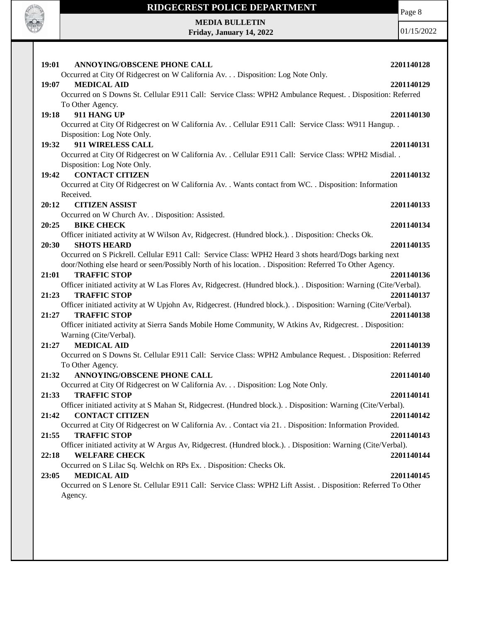

**MEDIA BULLETIN Friday, January 14, 2022** Page 8

| 19:01<br>ANNOYING/OBSCENE PHONE CALL<br>Occurred at City Of Ridgecrest on W California Av. Disposition: Log Note Only.                    | 2201140128 |
|-------------------------------------------------------------------------------------------------------------------------------------------|------------|
| 19:07<br><b>MEDICAL AID</b>                                                                                                               | 2201140129 |
| Occurred on S Downs St. Cellular E911 Call: Service Class: WPH2 Ambulance Request. . Disposition: Referred                                |            |
| To Other Agency.                                                                                                                          |            |
| 911 HANG UP<br>19:18                                                                                                                      | 2201140130 |
| Occurred at City Of Ridgecrest on W California Av. . Cellular E911 Call: Service Class: W911 Hangup. .                                    |            |
| Disposition: Log Note Only.                                                                                                               |            |
| 911 WIRELESS CALL<br>19:32                                                                                                                | 2201140131 |
| Occurred at City Of Ridgecrest on W California Av. . Cellular E911 Call: Service Class: WPH2 Misdial. .                                   |            |
| Disposition: Log Note Only.                                                                                                               |            |
| <b>CONTACT CITIZEN</b><br>19:42                                                                                                           | 2201140132 |
| Occurred at City Of Ridgecrest on W California Av. . Wants contact from WC. . Disposition: Information                                    |            |
| Received.                                                                                                                                 |            |
| 20:12<br><b>CITIZEN ASSIST</b>                                                                                                            | 2201140133 |
| Occurred on W Church Av. . Disposition: Assisted.                                                                                         |            |
| 20:25<br><b>BIKE CHECK</b>                                                                                                                | 2201140134 |
| Officer initiated activity at W Wilson Av, Ridgecrest. (Hundred block.). . Disposition: Checks Ok.                                        |            |
| 20:30<br><b>SHOTS HEARD</b>                                                                                                               | 2201140135 |
| Occurred on S Pickrell. Cellular E911 Call: Service Class: WPH2 Heard 3 shots heard/Dogs barking next                                     |            |
| door/Nothing else heard or seen/Possibly North of his location. . Disposition: Referred To Other Agency.                                  |            |
| <b>TRAFFIC STOP</b><br>21:01                                                                                                              | 2201140136 |
|                                                                                                                                           |            |
| Officer initiated activity at W Las Flores Av, Ridgecrest. (Hundred block.). . Disposition: Warning (Cite/Verbal).<br><b>TRAFFIC STOP</b> |            |
| 21:23                                                                                                                                     | 2201140137 |
| Officer initiated activity at W Upjohn Av, Ridgecrest. (Hundred block.). Disposition: Warning (Cite/Verbal).<br><b>TRAFFIC STOP</b>       |            |
| 21:27                                                                                                                                     | 2201140138 |
| Officer initiated activity at Sierra Sands Mobile Home Community, W Atkins Av, Ridgecrest. . Disposition:                                 |            |
| Warning (Cite/Verbal).<br><b>MEDICAL AID</b><br>21:27                                                                                     |            |
|                                                                                                                                           | 2201140139 |
| Occurred on S Downs St. Cellular E911 Call: Service Class: WPH2 Ambulance Request. . Disposition: Referred                                |            |
| To Other Agency.<br><b>ANNOYING/OBSCENE PHONE CALL</b>                                                                                    |            |
| 21:32                                                                                                                                     | 2201140140 |
| Occurred at City Of Ridgecrest on W California Av. Disposition: Log Note Only.                                                            |            |
| 21:33<br><b>TRAFFIC STOP</b>                                                                                                              | 2201140141 |
| Officer initiated activity at S Mahan St, Ridgecrest. (Hundred block.). . Disposition: Warning (Cite/Verbal).                             |            |
| <b>CONTACT CITIZEN</b><br>21:42                                                                                                           | 2201140142 |
| Occurred at City Of Ridgecrest on W California Av. . Contact via 21. . Disposition: Information Provided.                                 |            |
| 21:55<br><b>TRAFFIC STOP</b>                                                                                                              | 2201140143 |
| Officer initiated activity at W Argus Av, Ridgecrest. (Hundred block.). . Disposition: Warning (Cite/Verbal).                             |            |
| 22:18<br><b>WELFARE CHECK</b>                                                                                                             | 2201140144 |
| Occurred on S Lilac Sq. Welchk on RPs Ex. . Disposition: Checks Ok.                                                                       |            |
| 23:05<br><b>MEDICAL AID</b>                                                                                                               | 2201140145 |
| Occurred on S Lenore St. Cellular E911 Call: Service Class: WPH2 Lift Assist. . Disposition: Referred To Other                            |            |
| Agency.                                                                                                                                   |            |